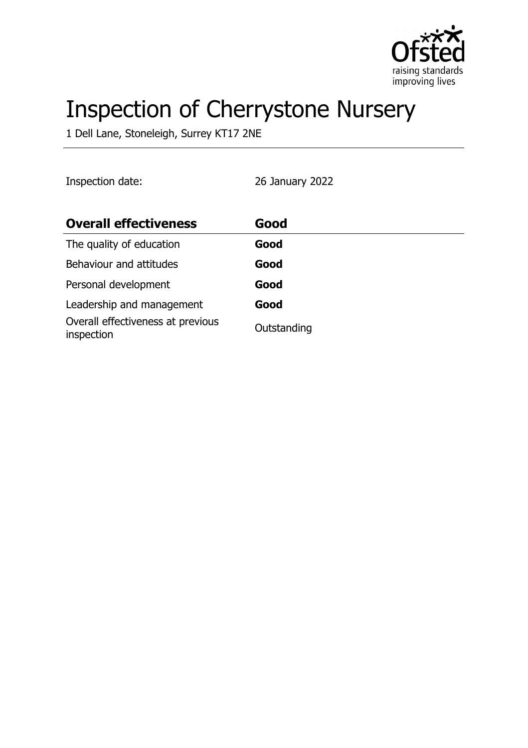

# Inspection of Cherrystone Nursery

1 Dell Lane, Stoneleigh, Surrey KT17 2NE

| Inspection date:                                | 26 January 2022 |
|-------------------------------------------------|-----------------|
| <b>Overall effectiveness</b>                    | Good            |
| The quality of education                        | Good            |
| Behaviour and attitudes                         | Good            |
| Personal development                            | Good            |
| Leadership and management                       | Good            |
| Overall effectiveness at previous<br>inspection | Outstanding     |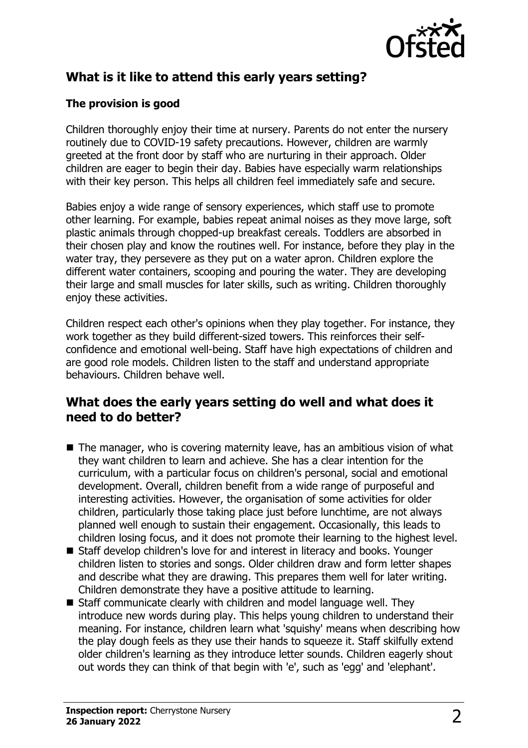

# **What is it like to attend this early years setting?**

## **The provision is good**

Children thoroughly enjoy their time at nursery. Parents do not enter the nursery routinely due to COVID-19 safety precautions. However, children are warmly greeted at the front door by staff who are nurturing in their approach. Older children are eager to begin their day. Babies have especially warm relationships with their key person. This helps all children feel immediately safe and secure.

Babies enjoy a wide range of sensory experiences, which staff use to promote other learning. For example, babies repeat animal noises as they move large, soft plastic animals through chopped-up breakfast cereals. Toddlers are absorbed in their chosen play and know the routines well. For instance, before they play in the water tray, they persevere as they put on a water apron. Children explore the different water containers, scooping and pouring the water. They are developing their large and small muscles for later skills, such as writing. Children thoroughly enjoy these activities.

Children respect each other's opinions when they play together. For instance, they work together as they build different-sized towers. This reinforces their selfconfidence and emotional well-being. Staff have high expectations of children and are good role models. Children listen to the staff and understand appropriate behaviours. Children behave well.

# **What does the early years setting do well and what does it need to do better?**

- $\blacksquare$  The manager, who is covering maternity leave, has an ambitious vision of what they want children to learn and achieve. She has a clear intention for the curriculum, with a particular focus on children's personal, social and emotional development. Overall, children benefit from a wide range of purposeful and interesting activities. However, the organisation of some activities for older children, particularly those taking place just before lunchtime, are not always planned well enough to sustain their engagement. Occasionally, this leads to children losing focus, and it does not promote their learning to the highest level.
- Staff develop children's love for and interest in literacy and books. Younger children listen to stories and songs. Older children draw and form letter shapes and describe what they are drawing. This prepares them well for later writing. Children demonstrate they have a positive attitude to learning.
- $\blacksquare$  Staff communicate clearly with children and model language well. They introduce new words during play. This helps young children to understand their meaning. For instance, children learn what 'squishy' means when describing how the play dough feels as they use their hands to squeeze it. Staff skilfully extend older children's learning as they introduce letter sounds. Children eagerly shout out words they can think of that begin with 'e', such as 'egg' and 'elephant'.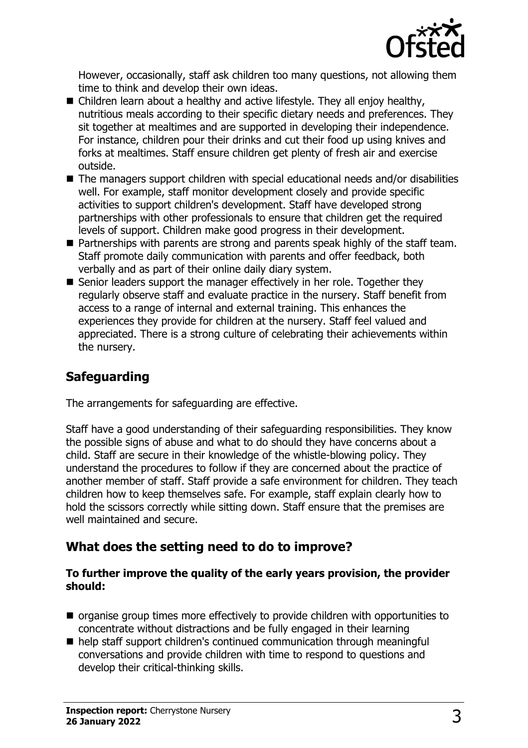

However, occasionally, staff ask children too many questions, not allowing them time to think and develop their own ideas.

- Children learn about a healthy and active lifestyle. They all enjoy healthy, nutritious meals according to their specific dietary needs and preferences. They sit together at mealtimes and are supported in developing their independence. For instance, children pour their drinks and cut their food up using knives and forks at mealtimes. Staff ensure children get plenty of fresh air and exercise outside.
- $\blacksquare$  The managers support children with special educational needs and/or disabilities well. For example, staff monitor development closely and provide specific activities to support children's development. Staff have developed strong partnerships with other professionals to ensure that children get the required levels of support. Children make good progress in their development.
- $\blacksquare$  Partnerships with parents are strong and parents speak highly of the staff team. Staff promote daily communication with parents and offer feedback, both verbally and as part of their online daily diary system.
- Senior leaders support the manager effectively in her role. Together they regularly observe staff and evaluate practice in the nursery. Staff benefit from access to a range of internal and external training. This enhances the experiences they provide for children at the nursery. Staff feel valued and appreciated. There is a strong culture of celebrating their achievements within the nursery.

# **Safeguarding**

The arrangements for safeguarding are effective.

Staff have a good understanding of their safeguarding responsibilities. They know the possible signs of abuse and what to do should they have concerns about a child. Staff are secure in their knowledge of the whistle-blowing policy. They understand the procedures to follow if they are concerned about the practice of another member of staff. Staff provide a safe environment for children. They teach children how to keep themselves safe. For example, staff explain clearly how to hold the scissors correctly while sitting down. Staff ensure that the premises are well maintained and secure.

# **What does the setting need to do to improve?**

#### **To further improve the quality of the early years provision, the provider should:**

- $\blacksquare$  organise group times more effectively to provide children with opportunities to concentrate without distractions and be fully engaged in their learning
- $\blacksquare$  help staff support children's continued communication through meaningful conversations and provide children with time to respond to questions and develop their critical-thinking skills.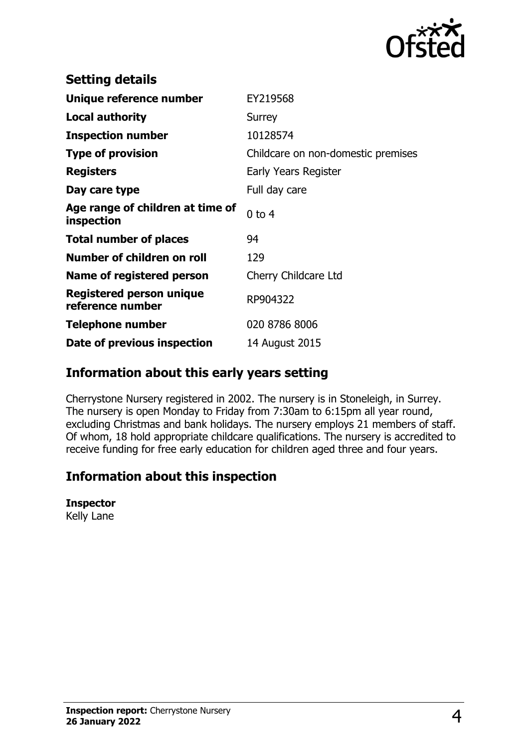

| <b>Setting details</b>                         |                                    |
|------------------------------------------------|------------------------------------|
| Unique reference number                        | EY219568                           |
| <b>Local authority</b>                         | Surrey                             |
| <b>Inspection number</b>                       | 10128574                           |
| <b>Type of provision</b>                       | Childcare on non-domestic premises |
| <b>Registers</b>                               | Early Years Register               |
| Day care type                                  | Full day care                      |
| Age range of children at time of<br>inspection | $0$ to $4$                         |
| <b>Total number of places</b>                  | 94                                 |
| Number of children on roll                     | 129                                |
| Name of registered person                      | Cherry Childcare Ltd               |
| Registered person unique<br>reference number   | RP904322                           |
| Telephone number                               | 020 8786 8006                      |
| Date of previous inspection                    | 14 August 2015                     |

## **Information about this early years setting**

Cherrystone Nursery registered in 2002. The nursery is in Stoneleigh, in Surrey. The nursery is open Monday to Friday from 7:30am to 6:15pm all year round, excluding Christmas and bank holidays. The nursery employs 21 members of staff. Of whom, 18 hold appropriate childcare qualifications. The nursery is accredited to receive funding for free early education for children aged three and four years.

# **Information about this inspection**

#### **Inspector**

Kelly Lane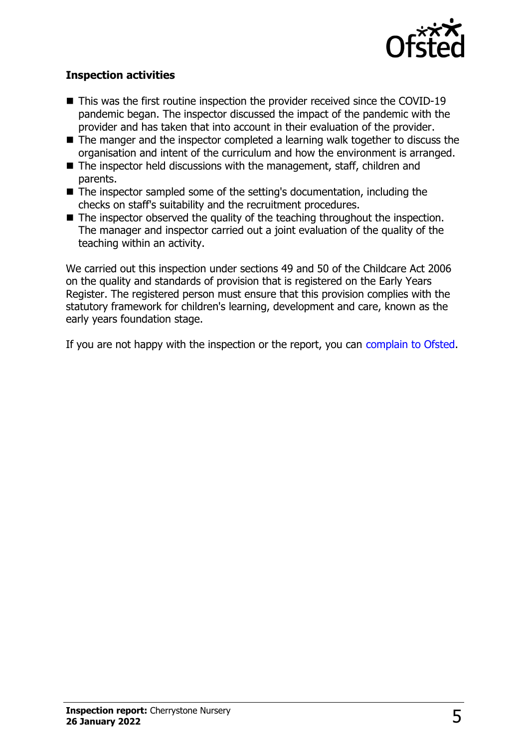

### **Inspection activities**

- $\blacksquare$  This was the first routine inspection the provider received since the COVID-19 pandemic began. The inspector discussed the impact of the pandemic with the provider and has taken that into account in their evaluation of the provider.
- $\blacksquare$  The manger and the inspector completed a learning walk together to discuss the organisation and intent of the curriculum and how the environment is arranged.
- $\blacksquare$  The inspector held discussions with the management, staff, children and parents.
- $\blacksquare$  The inspector sampled some of the setting's documentation, including the checks on staff's suitability and the recruitment procedures.
- $\blacksquare$  The inspector observed the quality of the teaching throughout the inspection. The manager and inspector carried out a joint evaluation of the quality of the teaching within an activity.

We carried out this inspection under sections 49 and 50 of the Childcare Act 2006 on the quality and standards of provision that is registered on the Early Years Register. The registered person must ensure that this provision complies with the statutory framework for children's learning, development and care, known as the early years foundation stage.

If you are not happy with the inspection or the report, you can [complain to Ofsted](http://www.gov.uk/complain-ofsted-report).